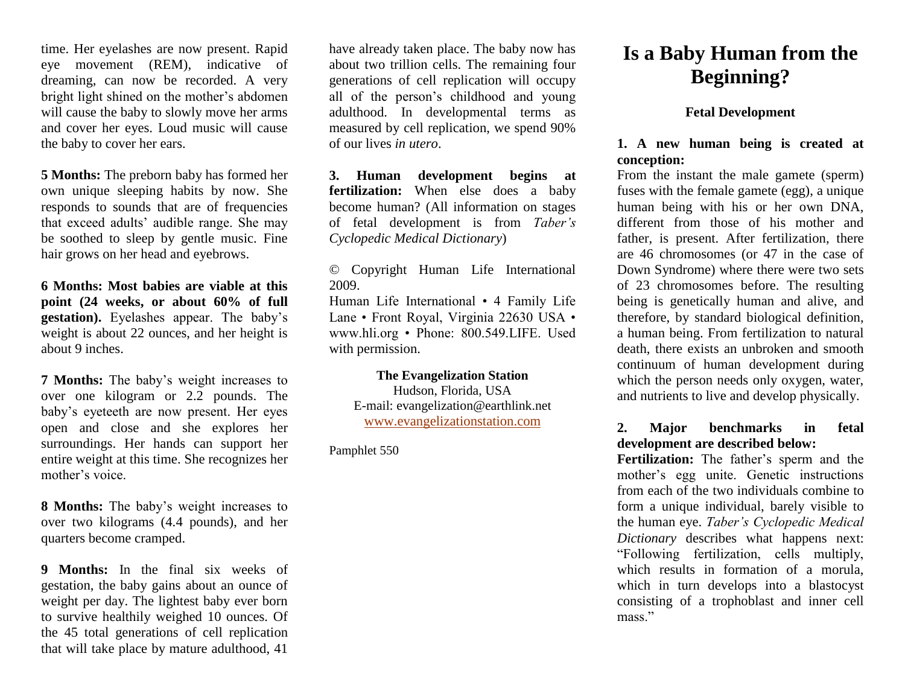time. Her eyelashes are now present. Rapid eye movement (REM), indicative of dreaming, can now be recorded. A very bright light shined on the mother's abdomen will cause the baby to slowly move her arms and cover her eyes. Loud music will cause the baby to cover her ears.

**5 Months:** The preborn baby has formed her own unique sleeping habits by now. She responds to sounds that are of frequencies that exceed adults' audible range. She may be soothed to sleep by gentle music. Fine hair grows on her head and eyebrows.

**6 Months: Most babies are viable at this point (24 weeks, or about 60% of full gestation).** Eyelashes appear. The baby's weight is about 22 ounces, and her height is about 9 inches.

**7 Months:** The baby's weight increases to over one kilogram or 2.2 pounds. The baby's eyeteeth are now present. Her eyes open and close and she explores her surroundings. Her hands can support her entire weight at this time. She recognizes her mother's voice.

**8 Months:** The baby's weight increases to over two kilograms (4.4 pounds), and her quarters become cramped.

**9 Months:** In the final six weeks of gestation, the baby gains about an ounce of weight per day. The lightest baby ever born to survive healthily weighed 10 ounces. Of the 45 total generations of cell replication that will take place by mature adulthood, 41

have already taken place. The baby now has about two trillion cells. The remaining four generations of cell replication will occupy all of the person's childhood and young adulthood. In developmental terms as measured by cell replication, we spend 90% of our lives *in utero*.

**3. Human development begins at fertilization:** When else does a baby become human? (All information on stages of fetal development is from *Taber's Cyclopedic Medical Dictionary*)

© Copyright Human Life International 2009.

Human Life International • 4 Family Life Lane • Front Royal, Virginia 22630 USA • www.hli.org • Phone: 800.549.LIFE. Used with permission.

#### **The Evangelization Station**

Hudson, Florida, USA E-mail: evangelization@earthlink.net [www.evangelizationstation.com](http://www.pjpiisoe.org/)

Pamphlet 550

# **Is a Baby Human from the Beginning?**

#### **Fetal Development**

## **1. A new human being is created at conception:**

From the instant the male gamete (sperm) fuses with the female gamete (egg), a unique human being with his or her own DNA, different from those of his mother and father, is present. After fertilization, there are 46 chromosomes (or 47 in the case of Down Syndrome) where there were two sets of 23 chromosomes before. The resulting being is genetically human and alive, and therefore, by standard biological definition, a human being. From fertilization to natural death, there exists an unbroken and smooth continuum of human development during which the person needs only oxygen, water, and nutrients to live and develop physically.

# **2. Major benchmarks in fetal development are described below:**

**Fertilization:** The father's sperm and the mother's egg unite. Genetic instructions from each of the two individuals combine to form a unique individual, barely visible to the human eye. *Taber's Cyclopedic Medical Dictionary* describes what happens next: "Following fertilization, cells multiply, which results in formation of a morula, which in turn develops into a blastocyst consisting of a trophoblast and inner cell mass<sup>"</sup>